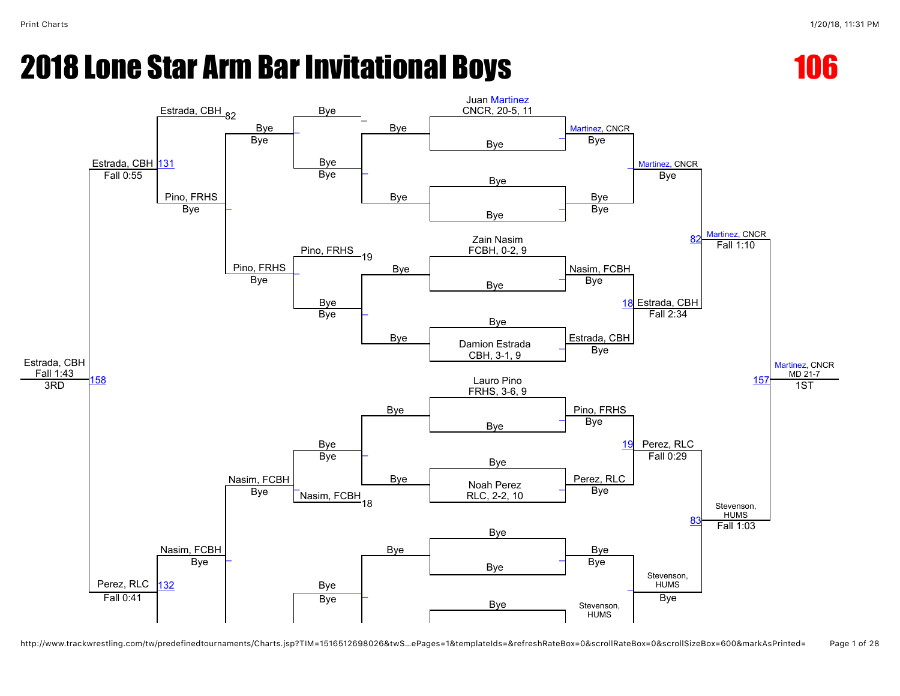

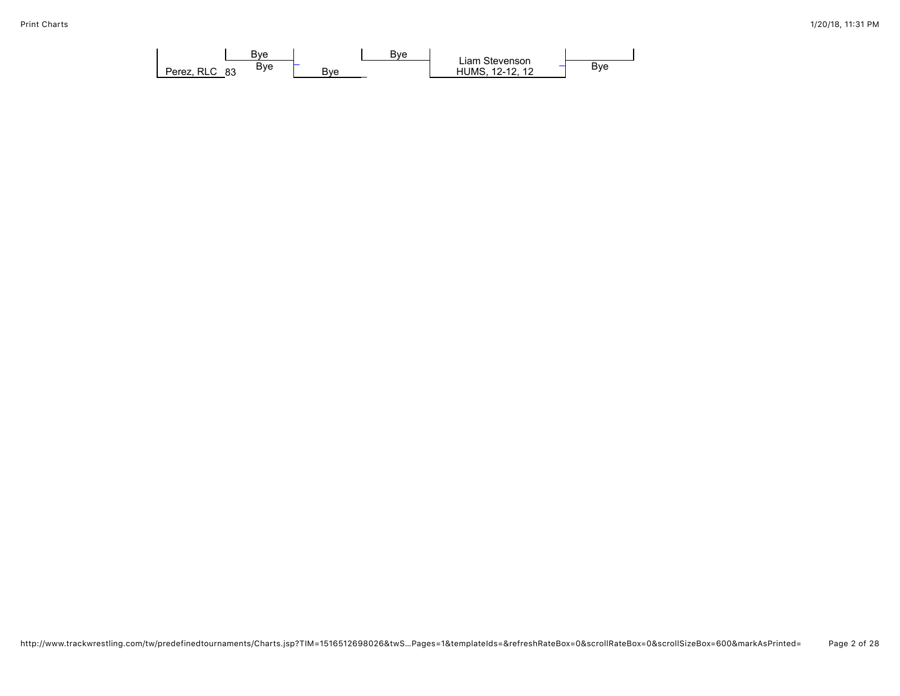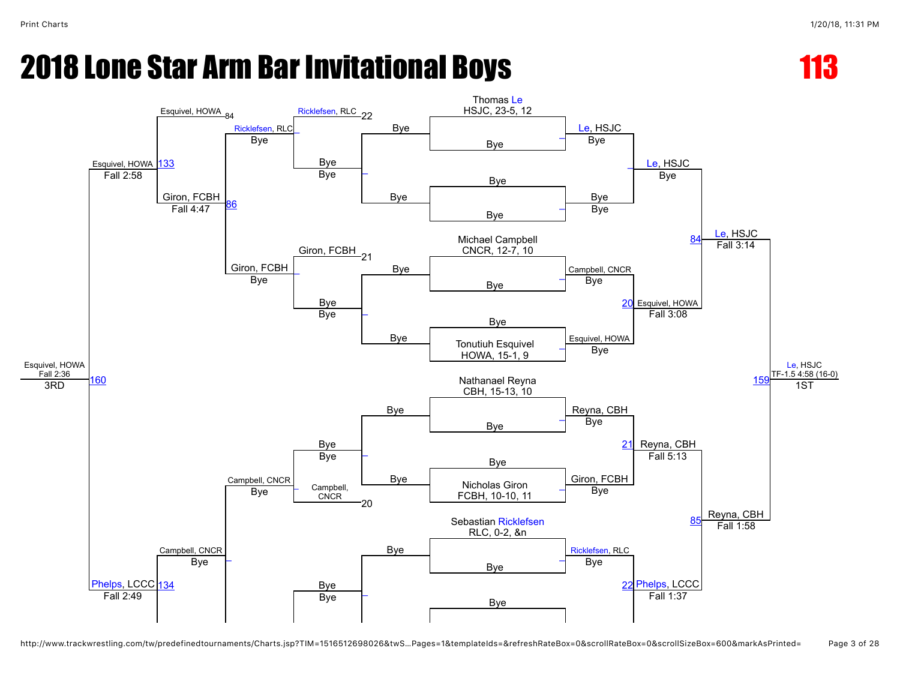

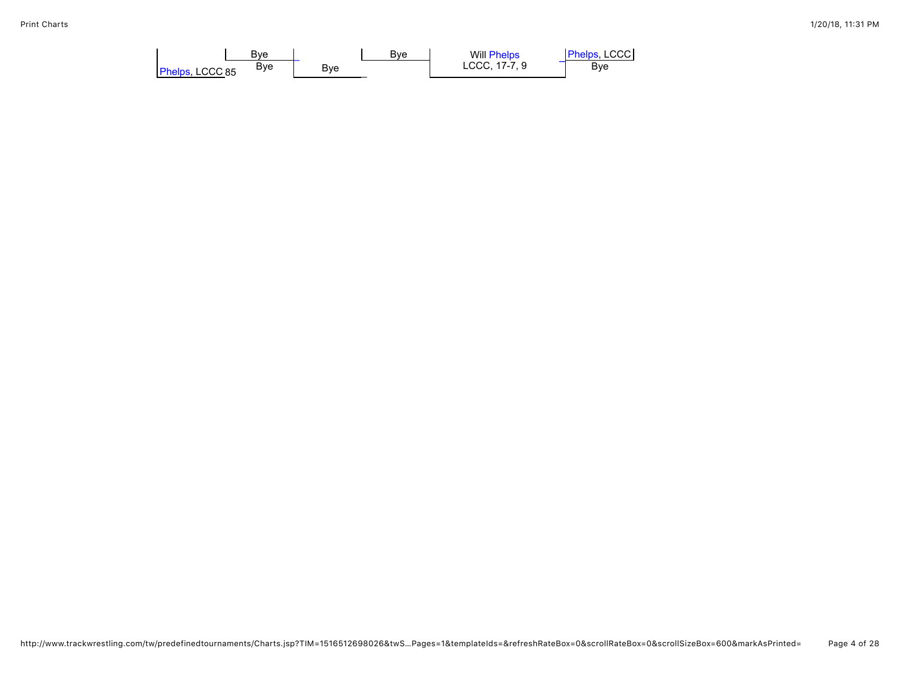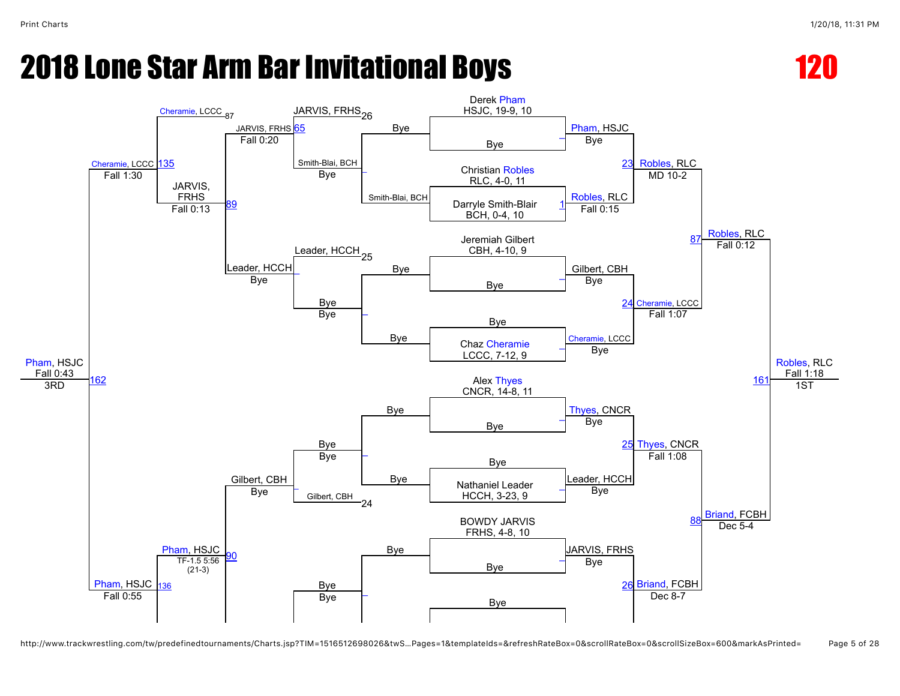



http://www.trackwrestling.com/tw/predefinedtournaments/Charts.jsp?TIM=1516512698026&twS…Pages=1&templateIds=&refreshRateBox=0&scrollRateBox=0&scrollSizeBox=600&markAsPrinted= Page 5 of 28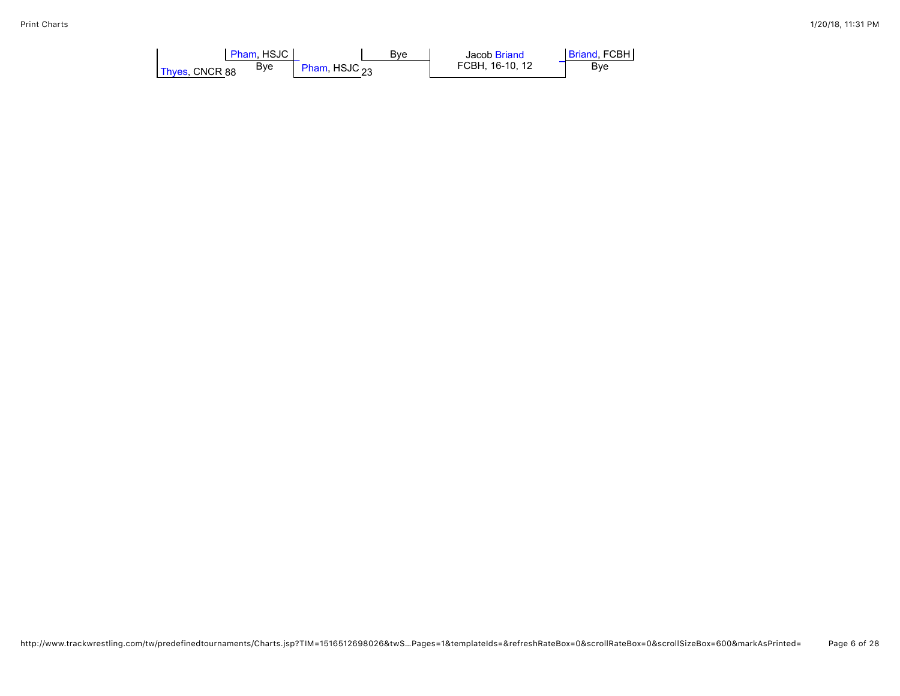| Pham. HSJC            | Bve             | Jacob Briand    | <b>Briand, FCBH</b> |
|-----------------------|-----------------|-----------------|---------------------|
| Bve<br>Thyes, CNCR 88 | Pham, HSJC $22$ | FCBH. 16-10. 12 | Bve                 |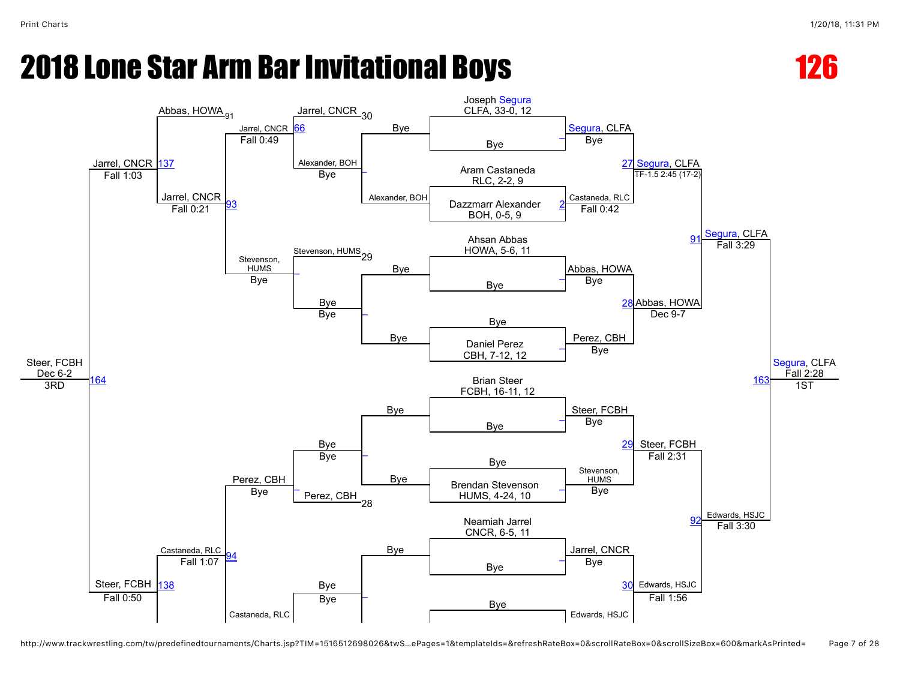



http://www.trackwrestling.com/tw/predefinedtournaments/Charts.jsp?TIM=1516512698026&twS…ePages=1&templateIds=&refreshRateBox=0&scrollRateBox=0&scrollSizeBox=600&markAsPrinted= Page 7 of 28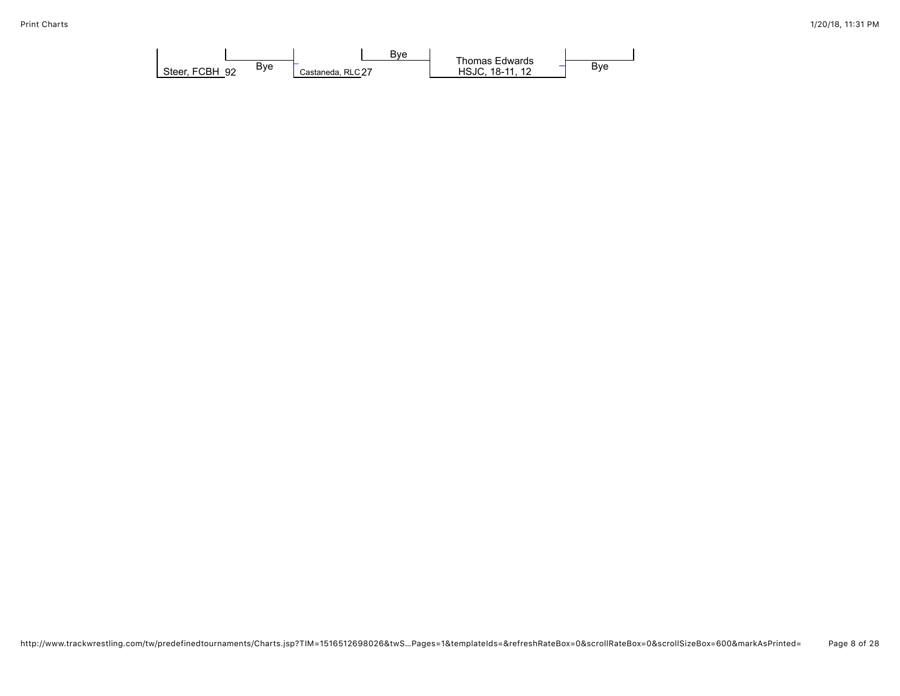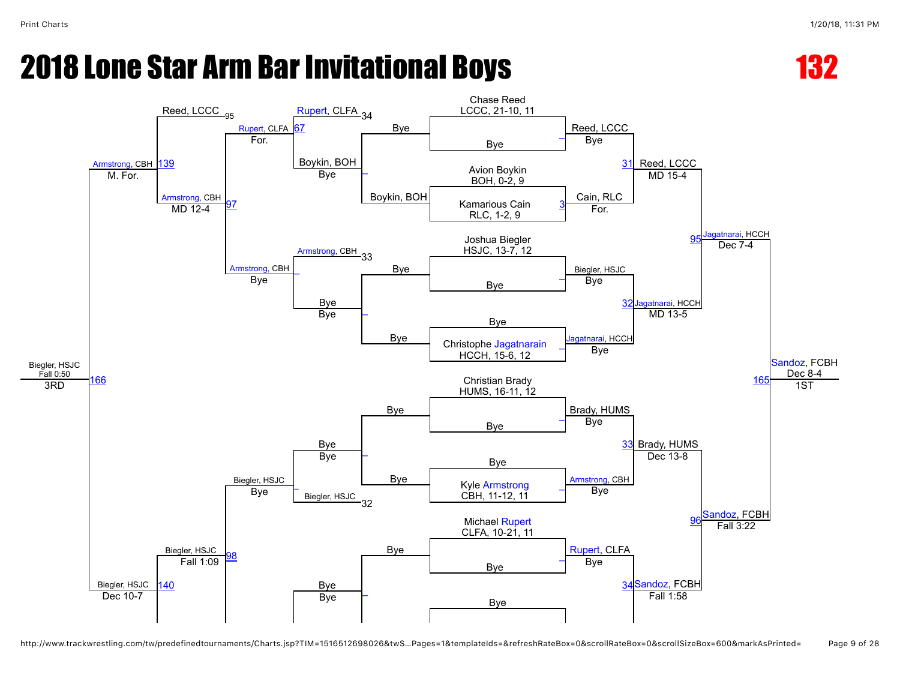

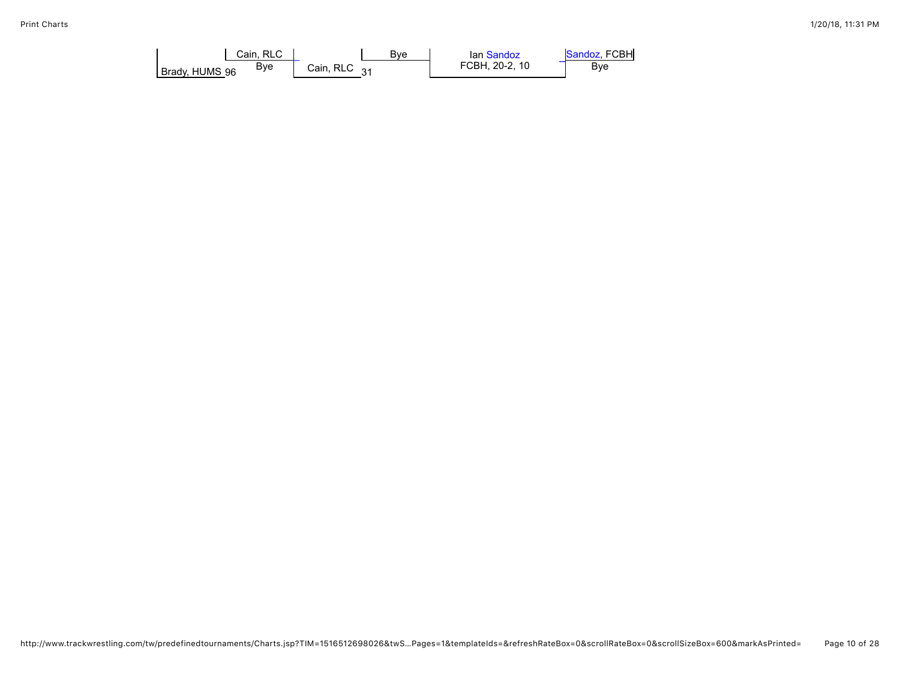| Cain, RLC             | Bve                   | lan Sandoz     | Sandoz, FCBH |
|-----------------------|-----------------------|----------------|--------------|
| Bve<br>Brady, HUMS 96 | Cain, RLC<br>$\Omega$ | FCBH, 20-2, 10 | Bye          |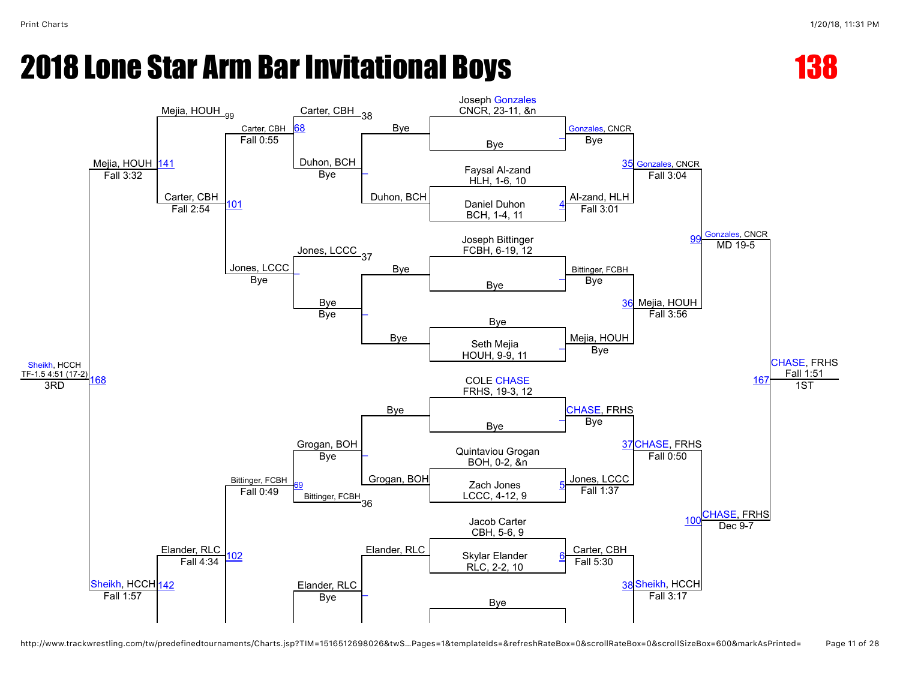

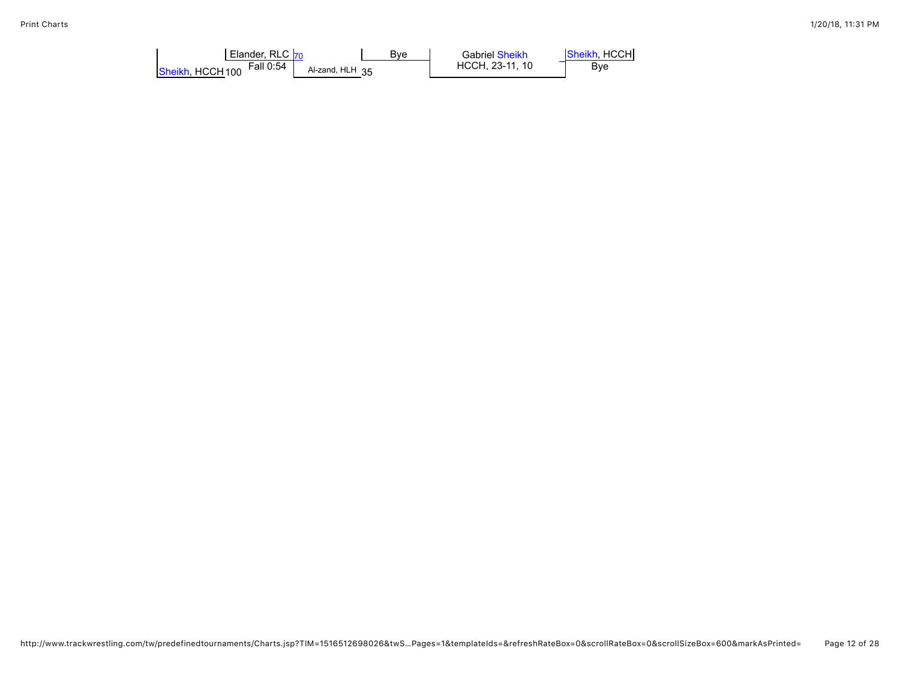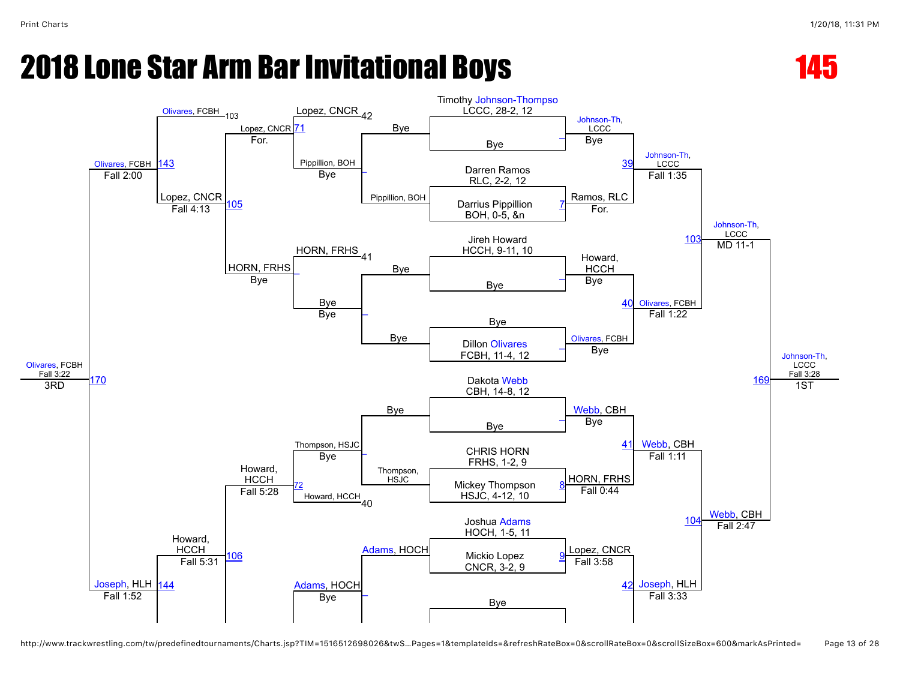



http://www.trackwrestling.com/tw/predefinedtournaments/Charts.jsp?TIM=1516512698026&twS…Pages=1&templateIds=&refreshRateBox=0&scrollRateBox=0&scrollSizeBox=600&markAsPrinted= Page 13 of 28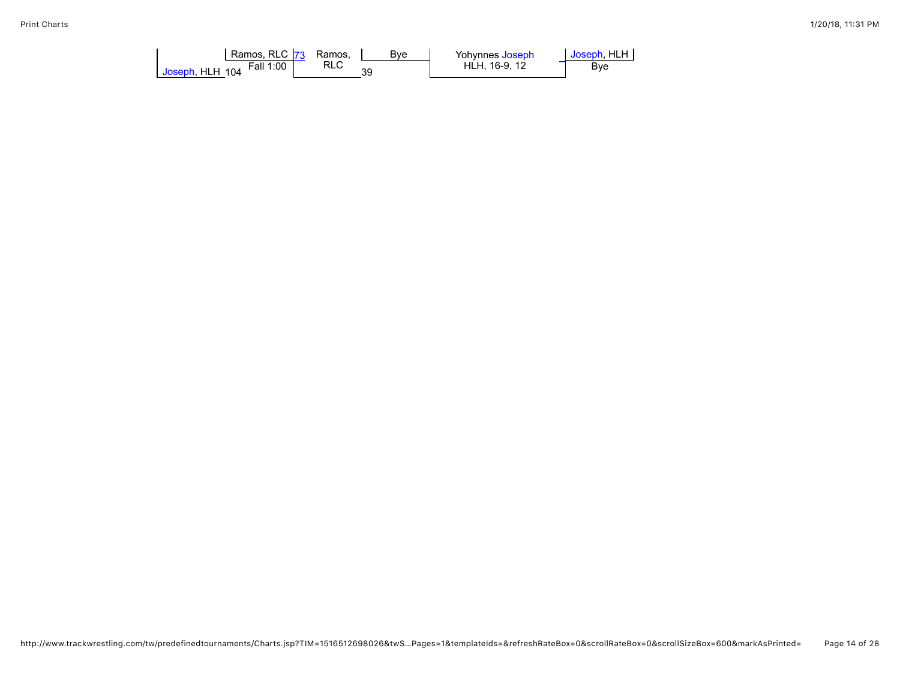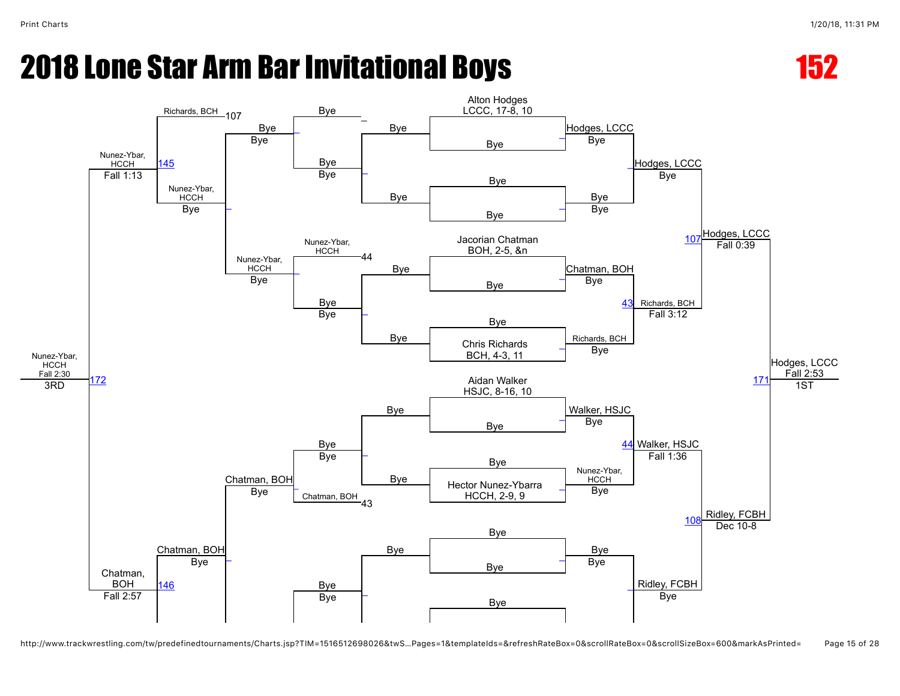



http://www.trackwrestling.com/tw/predefinedtournaments/Charts.jsp?TIM=1516512698026&twS…Pages=1&templateIds=&refreshRateBox=0&scrollRateBox=0&scrollSizeBox=600&markAsPrinted= Page 15 of 28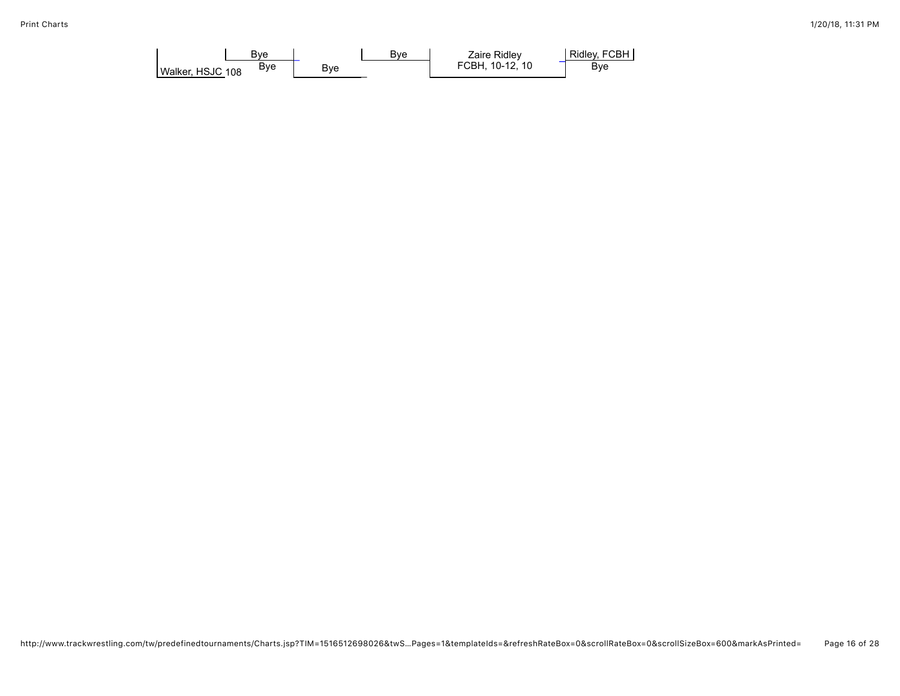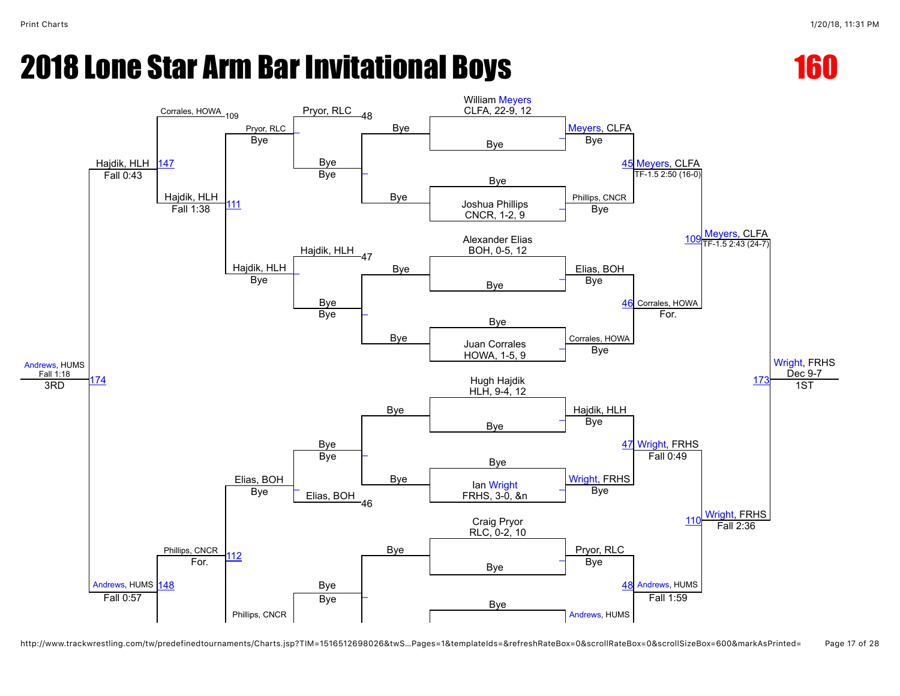



http://www.trackwrestling.com/tw/predefinedtournaments/Charts.jsp?TIM=1516512698026&twS…Pages=1&templateIds=&refreshRateBox=0&scrollRateBox=0&scrollSizeBox=600&markAsPrinted= Page 17 of 28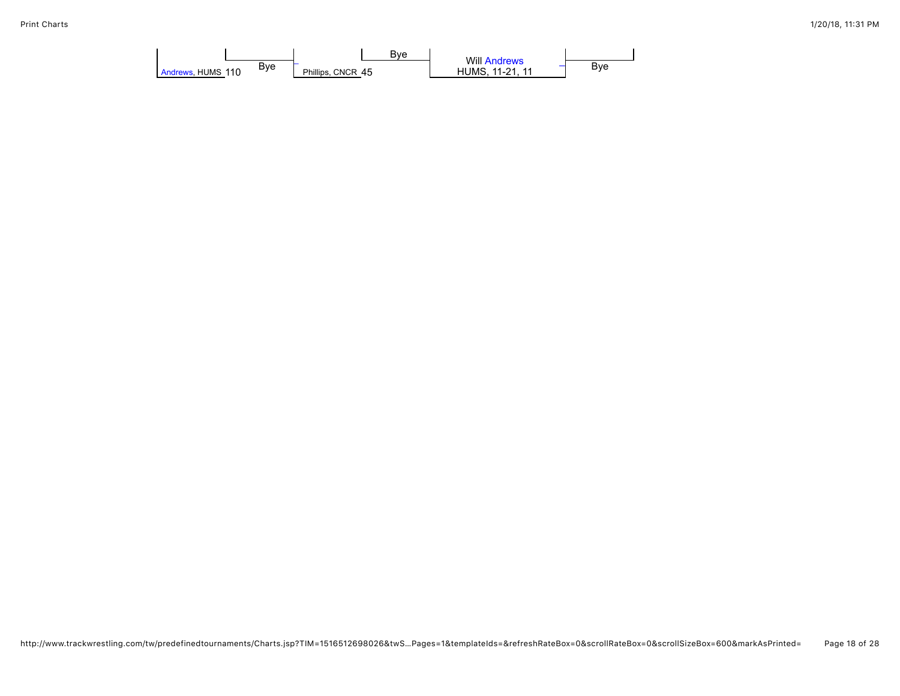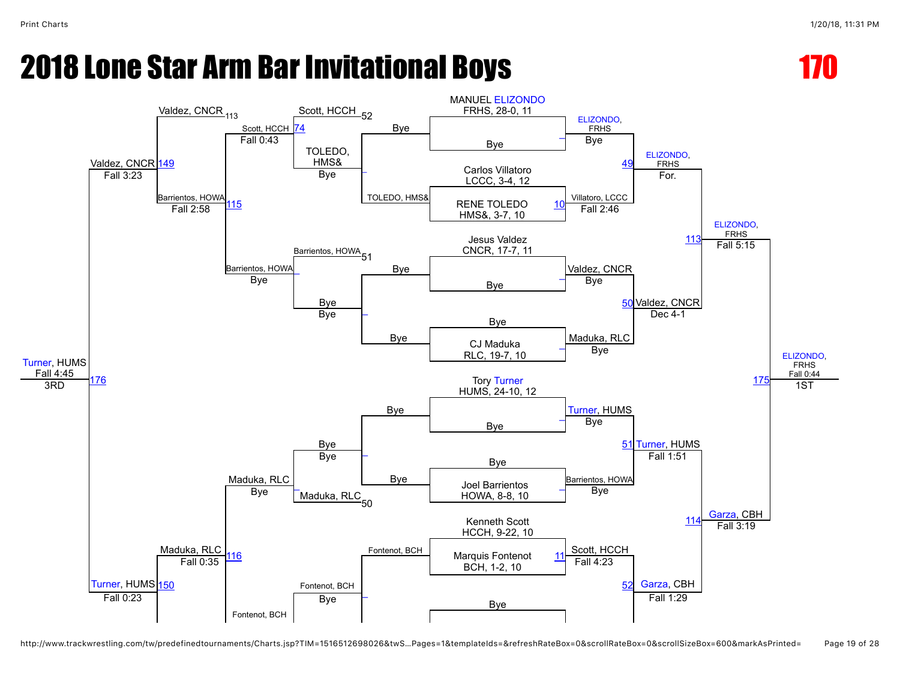

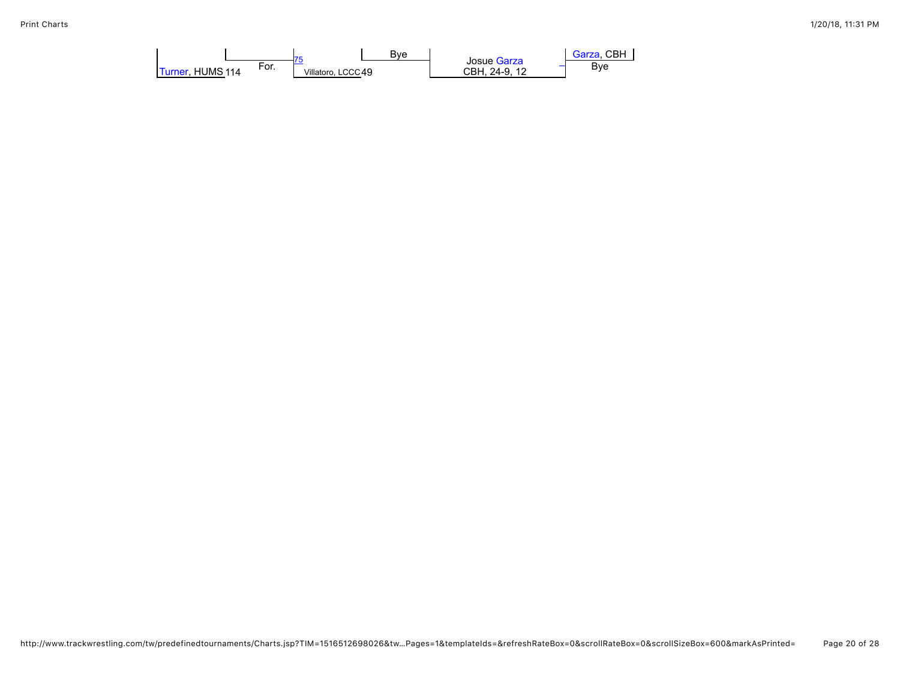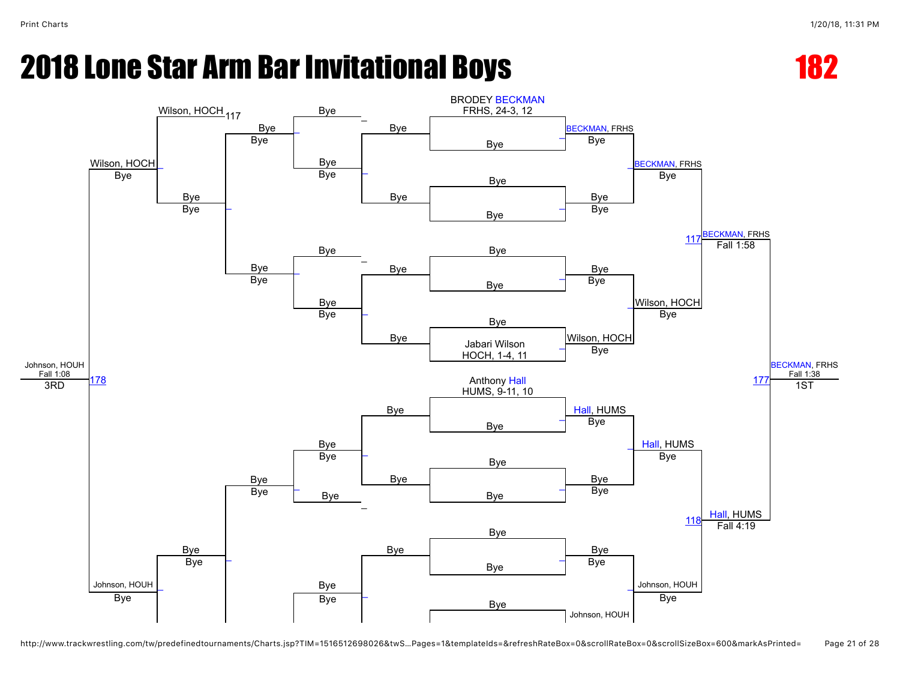

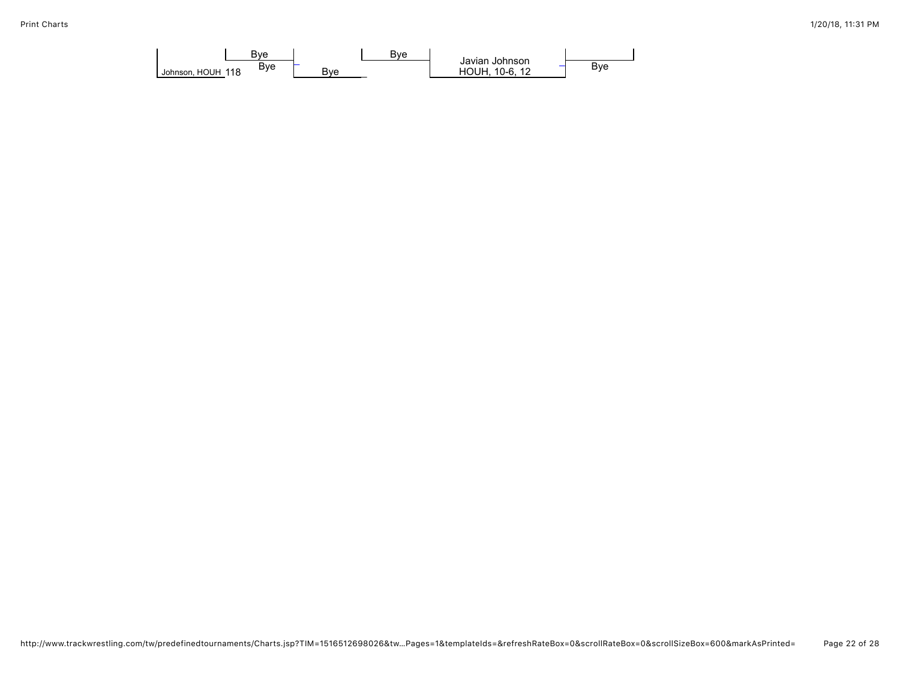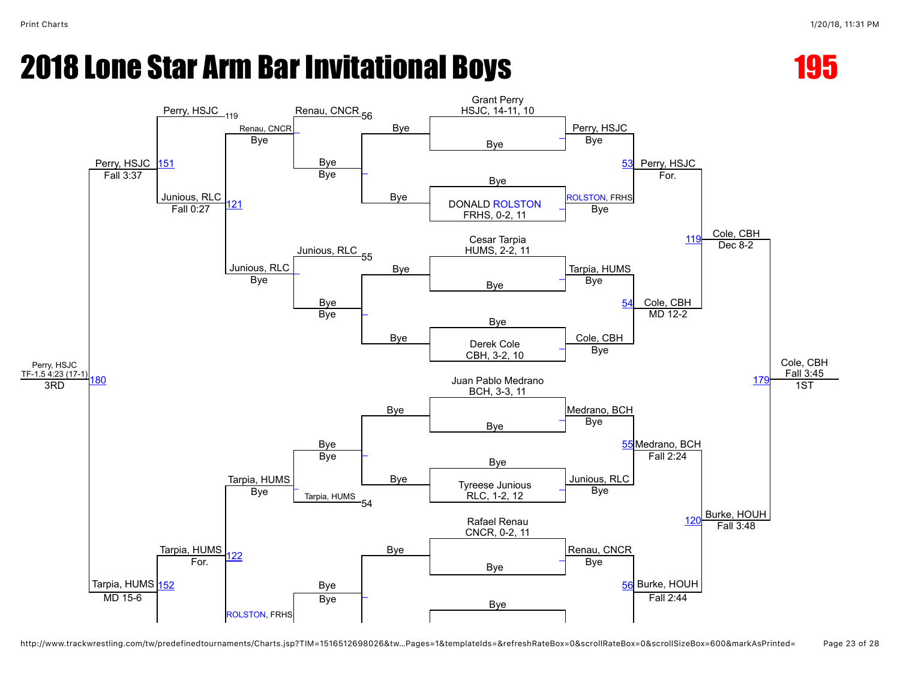

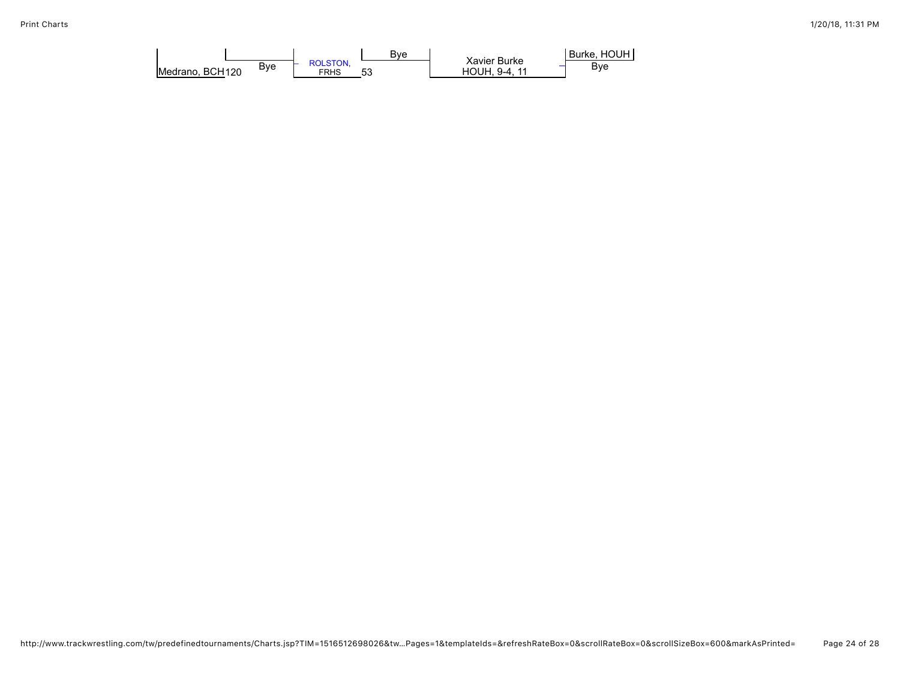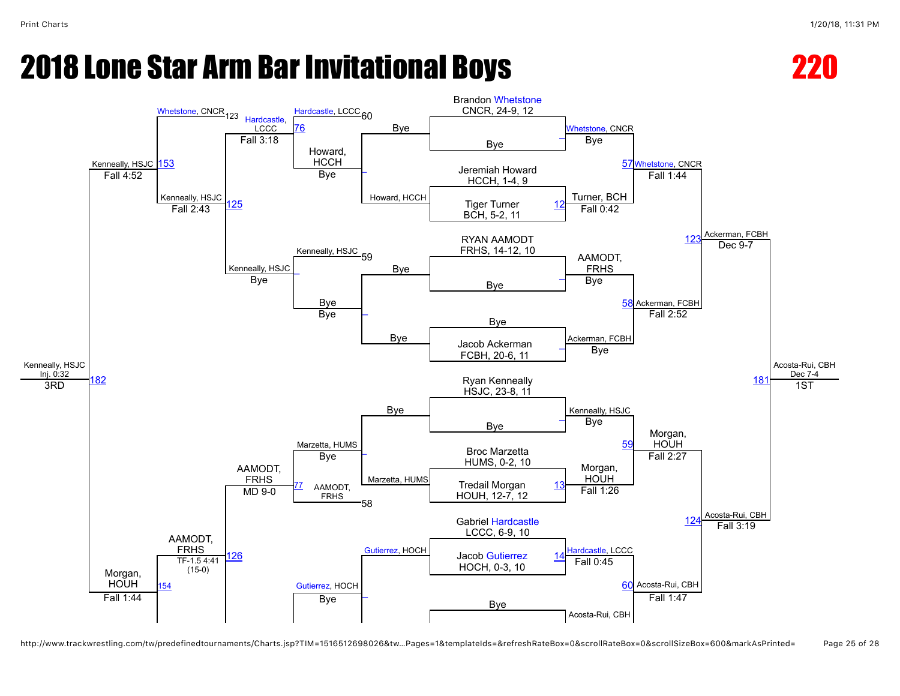

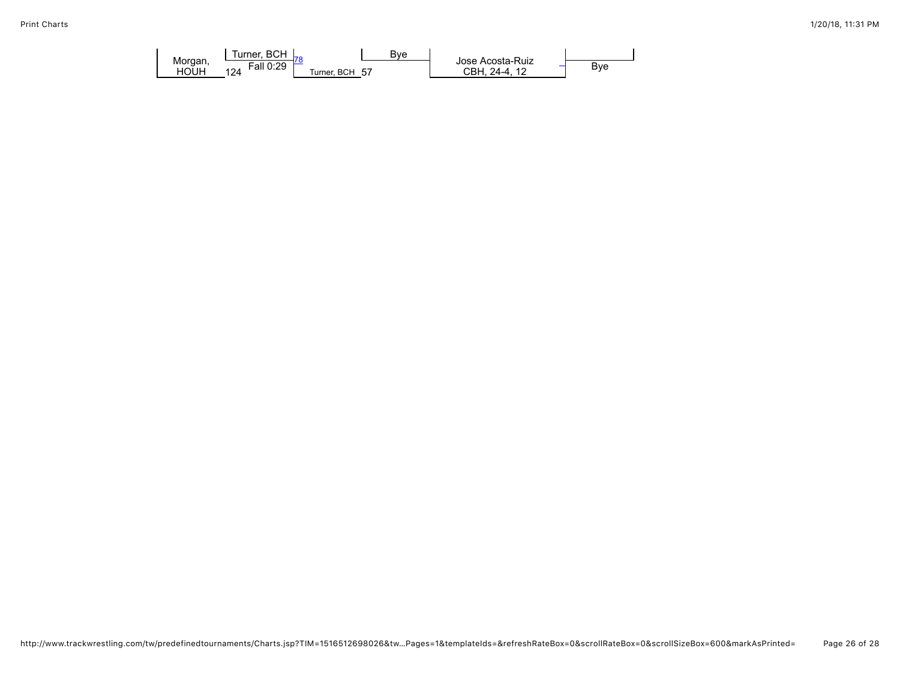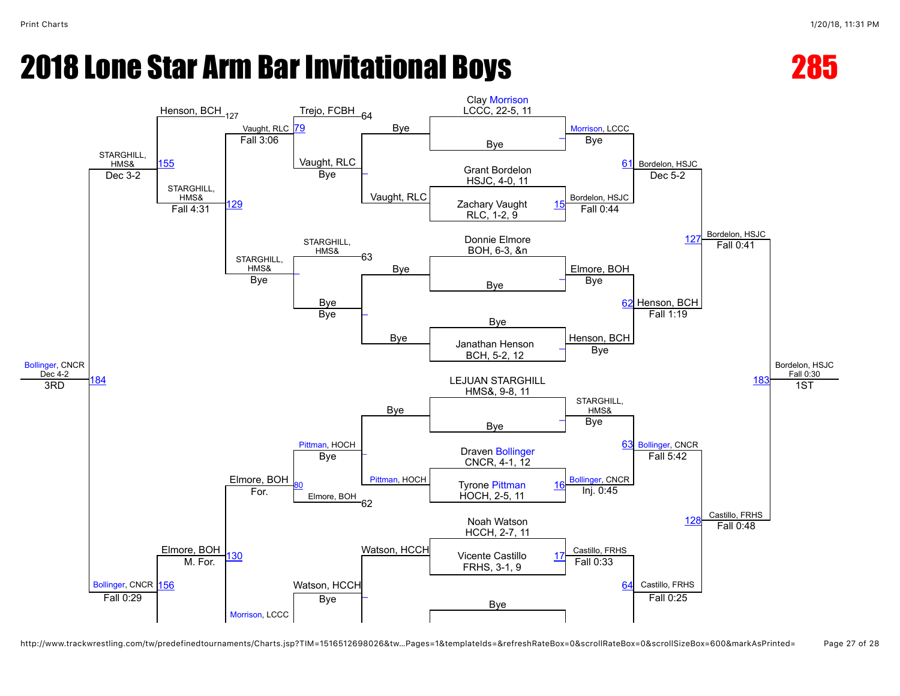



http://www.trackwrestling.com/tw/predefinedtournaments/Charts.jsp?TIM=1516512698026&tw…Pages=1&templateIds=&refreshRateBox=0&scrollRateBox=0&scrollSizeBox=600&markAsPrinted= Page 27 of 28